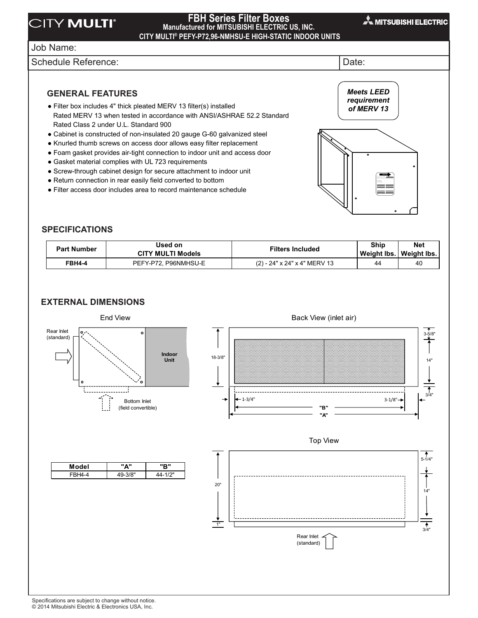### $F \cup \bigcup_{\text{M} \text{ anular}} \bigcup_{\text{M} \text{ an array of } \mathcal{P}} \bigcup_{\text{M} \text{ an array of } \mathcal{P}} \bigcup_{\text{M} \text{ an array of } \mathcal{P}} \bigcup_{\text{M} \text{ an array of } \mathcal{P}} \bigcup_{\text{M} \text{ an array of } \mathcal{P}} \bigcup_{\text{M} \text{ an array of } \mathcal{P}} \bigcup_{\text{M} \text{ an array of } \mathcal{P}} \bigcup_{\text{M} \text{ an array of } \mathcal{P}} \bigcup_{\text{M} \text{ an array of } \mathcal{P}} \bigcup_{$ FBH Series Filter Boxes **Designed for CITY MULTI®**

### **FBH Series Filter Boxes Manufactured for MITSUBISHI ELECTRIC US, INC. CITY MULTI® PEFY-P72,96-NMHSU-E HIGH-STATIC INDOOR UNITS PEFY-P72, 96NMHSU-E High-Static Indoor Units**

# Job Name: **Designed for CITY MULTI®** Job Name:

Schedule Reference:  $\vert$ Date:  $\vert$ 

**GENERAL FEATURES** GENERAL FEATURES Drawing Reference Schedule No.

• Filter box includes 4" thick pleated MERV 13 filter(s) installed<br>
E 11 (1150) 12 million in the contract of the contract of the contract of the contract of the contract of the Rated Class 2 under U.L. Standard 900 Rated MERV 13 when tested in accordance with ANSI/ASHRAE 52.2 Standard

Drawing Reference Schedule No.

- Cabinet is constructed of non-insulated 20 gauge G-60 galvanized steel
- Knurled thumb screws on access door allows easy filter replacement
- . Foam gasket provides air-tight connection to indoor unit and access door
- · Gasket material complies with UL 723 requirements
- Screw-through cabinet design for secure attachment to indoor unit
- Return connection in rear easily field converted to bottom
- Filter access door includes area to record maintenance schedule

*Meets LEED of MERV 13 requirement of MERV 13 Meets LEED requirement* 

Filter Size: (2) - 24" x 24 x 4"

#### **SPECIFICATIONS** SPECIFICATIONS **Part Incredible**

| <b>Part Number</b> | Used on<br><b>CITY MULTI Models</b> | <b>Filters Included</b>      | Ship<br>Weight Ibs.   Weight Ibs. | <b>Net</b> |
|--------------------|-------------------------------------|------------------------------|-----------------------------------|------------|
| <b>FBH4-4</b>      | PEFY-P72. P96NMHSU-E                | (2) - 24" x 24" x 4" MERV 13 | 44                                | 40         |

## **EXTERNAL DIMENSIONS**